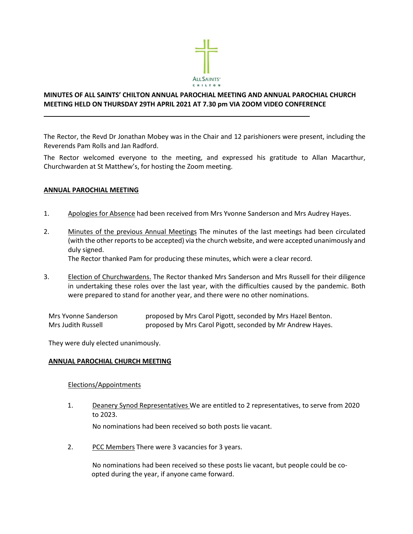

# MINUTES OF ALL SAINTS' CHILTON ANNUAL PAROCHIAL MEETING AND ANNUAL PAROCHIAL CHURCH MEETING HELD ON THURSDAY 29TH APRIL 2021 AT 7.30 pm VIA ZOOM VIDEO CONFERENCE

 $\mathcal{L}_\text{max} = \mathcal{L}_\text{max} = \mathcal{L}_\text{max} = \mathcal{L}_\text{max} = \mathcal{L}_\text{max} = \mathcal{L}_\text{max} = \mathcal{L}_\text{max} = \mathcal{L}_\text{max} = \mathcal{L}_\text{max} = \mathcal{L}_\text{max} = \mathcal{L}_\text{max} = \mathcal{L}_\text{max} = \mathcal{L}_\text{max} = \mathcal{L}_\text{max} = \mathcal{L}_\text{max} = \mathcal{L}_\text{max} = \mathcal{L}_\text{max} = \mathcal{L}_\text{max} = \mathcal{$ 

The Rector, the Revd Dr Jonathan Mobey was in the Chair and 12 parishioners were present, including the Reverends Pam Rolls and Jan Radford.

The Rector welcomed everyone to the meeting, and expressed his gratitude to Allan Macarthur, Churchwarden at St Matthew's, for hosting the Zoom meeting.

### ANNUAL PAROCHIAL MEETING

- 1. Apologies for Absence had been received from Mrs Yvonne Sanderson and Mrs Audrey Hayes.
- 2. Minutes of the previous Annual Meetings The minutes of the last meetings had been circulated (with the other reports to be accepted) via the church website, and were accepted unanimously and duly signed.

The Rector thanked Pam for producing these minutes, which were a clear record.

3. Election of Churchwardens. The Rector thanked Mrs Sanderson and Mrs Russell for their diligence in undertaking these roles over the last year, with the difficulties caused by the pandemic. Both were prepared to stand for another year, and there were no other nominations.

Mrs Yvonne Sanderson proposed by Mrs Carol Pigott, seconded by Mrs Hazel Benton. Mrs Judith Russell proposed by Mrs Carol Pigott, seconded by Mr Andrew Hayes.

They were duly elected unanimously.

#### ANNUAL PAROCHIAL CHURCH MEETING

#### Elections/Appointments

1. Deanery Synod Representatives We are entitled to 2 representatives, to serve from 2020 to 2023.

No nominations had been received so both posts lie vacant.

2. PCC Members There were 3 vacancies for 3 years.

No nominations had been received so these posts lie vacant, but people could be coopted during the year, if anyone came forward.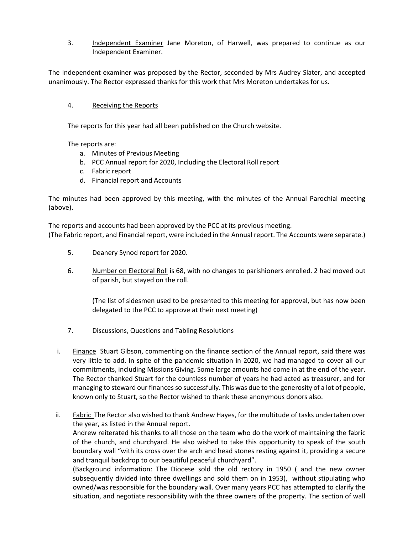3. Independent Examiner Jane Moreton, of Harwell, was prepared to continue as our Independent Examiner.

The Independent examiner was proposed by the Rector, seconded by Mrs Audrey Slater, and accepted unanimously. The Rector expressed thanks for this work that Mrs Moreton undertakes for us.

# 4. Receiving the Reports

The reports for this year had all been published on the Church website.

The reports are:

- a. Minutes of Previous Meeting
- b. PCC Annual report for 2020, Including the Electoral Roll report
- c. Fabric report
- d. Financial report and Accounts

The minutes had been approved by this meeting, with the minutes of the Annual Parochial meeting (above).

The reports and accounts had been approved by the PCC at its previous meeting. (The Fabric report, and Financial report, were included in the Annual report. The Accounts were separate.)

- 5. Deanery Synod report for 2020.
- 6. Number on Electoral Roll is 68, with no changes to parishioners enrolled. 2 had moved out of parish, but stayed on the roll.

(The list of sidesmen used to be presented to this meeting for approval, but has now been delegated to the PCC to approve at their next meeting)

- 7. Discussions, Questions and Tabling Resolutions
- i. Finance Stuart Gibson, commenting on the finance section of the Annual report, said there was very little to add. In spite of the pandemic situation in 2020, we had managed to cover all our commitments, including Missions Giving. Some large amounts had come in at the end of the year. The Rector thanked Stuart for the countless number of years he had acted as treasurer, and for managing to steward our finances so successfully. This was due to the generosity of a lot of people, known only to Stuart, so the Rector wished to thank these anonymous donors also.
- ii. Fabric The Rector also wished to thank Andrew Hayes, for the multitude of tasks undertaken over the year, as listed in the Annual report.

Andrew reiterated his thanks to all those on the team who do the work of maintaining the fabric of the church, and churchyard. He also wished to take this opportunity to speak of the south boundary wall "with its cross over the arch and head stones resting against it, providing a secure and tranquil backdrop to our beautiful peaceful churchyard".

(Background information: The Diocese sold the old rectory in 1950 ( and the new owner subsequently divided into three dwellings and sold them on in 1953), without stipulating who owned/was responsible for the boundary wall. Over many years PCC has attempted to clarify the situation, and negotiate responsibility with the three owners of the property. The section of wall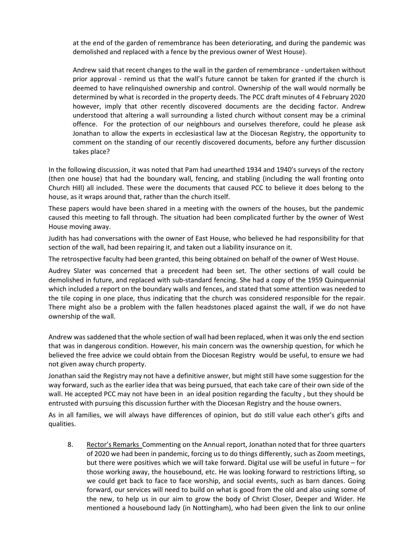at the end of the garden of remembrance has been deteriorating, and during the pandemic was demolished and replaced with a fence by the previous owner of West House).

Andrew said that recent changes to the wall in the garden of remembrance - undertaken without prior approval - remind us that the wall's future cannot be taken for granted if the church is deemed to have relinquished ownership and control. Ownership of the wall would normally be determined by what is recorded in the property deeds. The PCC draft minutes of 4 February 2020 however, imply that other recently discovered documents are the deciding factor. Andrew understood that altering a wall surrounding a listed church without consent may be a criminal offence. For the protection of our neighbours and ourselves therefore, could he please ask Jonathan to allow the experts in ecclesiastical law at the Diocesan Registry, the opportunity to comment on the standing of our recently discovered documents, before any further discussion takes place?

In the following discussion, it was noted that Pam had unearthed 1934 and 1940's surveys of the rectory (then one house) that had the boundary wall, fencing, and stabling (including the wall fronting onto Church Hill) all included. These were the documents that caused PCC to believe it does belong to the house, as it wraps around that, rather than the church itself.

These papers would have been shared in a meeting with the owners of the houses, but the pandemic caused this meeting to fall through. The situation had been complicated further by the owner of West House moving away.

Judith has had conversations with the owner of East House, who believed he had responsibility for that section of the wall, had been repairing it, and taken out a liability insurance on it.

The retrospective faculty had been granted, this being obtained on behalf of the owner of West House.

Audrey Slater was concerned that a precedent had been set. The other sections of wall could be demolished in future, and replaced with sub-standard fencing. She had a copy of the 1959 Quinquennial which included a report on the boundary walls and fences, and stated that some attention was needed to the tile coping in one place, thus indicating that the church was considered responsible for the repair. There might also be a problem with the fallen headstones placed against the wall, if we do not have ownership of the wall.

Andrew was saddened that the whole section of wall had been replaced, when it was only the end section that was in dangerous condition. However, his main concern was the ownership question, for which he believed the free advice we could obtain from the Diocesan Registry would be useful, to ensure we had not given away church property.

Jonathan said the Registry may not have a definitive answer, but might still have some suggestion for the way forward, such as the earlier idea that was being pursued, that each take care of their own side of the wall. He accepted PCC may not have been in an ideal position regarding the faculty , but they should be entrusted with pursuing this discussion further with the Diocesan Registry and the house owners.

As in all families, we will always have differences of opinion, but do still value each other's gifts and qualities.

8. Rector's Remarks Commenting on the Annual report, Jonathan noted that for three quarters of 2020 we had been in pandemic, forcing us to do things differently, such as Zoom meetings, but there were positives which we will take forward. Digital use will be useful in future – for those working away, the housebound, etc. He was looking forward to restrictions lifting, so we could get back to face to face worship, and social events, such as barn dances. Going forward, our services will need to build on what is good from the old and also using some of the new, to help us in our aim to grow the body of Christ Closer, Deeper and Wider. He mentioned a housebound lady (in Nottingham), who had been given the link to our online